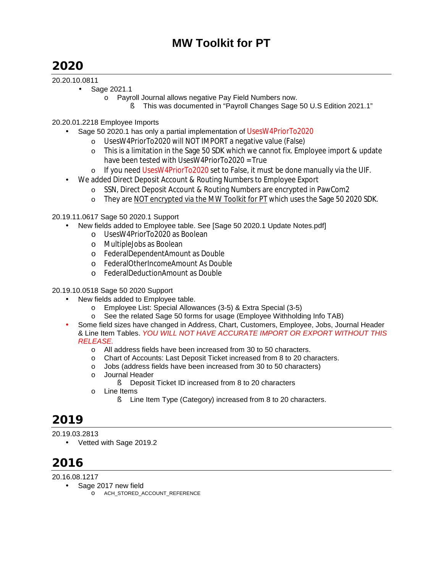# **2020**

## 20.20.10.0811

- Sage 2021.1
	- o Payroll Journal allows negative Pay Field Numbers now.
		- § This was documented in "Payroll Changes Sage 50 U.S Edition 2021.1"

# 20.20.01.2218 Employee Imports

- Sage 50 2020.1 has only a partial implementation of UsesW4PriorTo2020
	- o UsesW4PriorTo2020 will NOT IMPORT a negative value (False)
	- o This is a limitation in the Sage 50 SDK which we cannot fix. Employee import & update have been tested with UsesW4PriorTo2020 = True
	- $\circ$  If you need UsesW4PriorTo2020 set to False, it must be done manually via the UIF.
- We added Direct Deposit Account & Routing Numbers to Employee Export
	- o SSN, Direct Deposit Account & Routing Numbers are encrypted in PawCom2
	- o They are NOT encrypted via the MW Toolkit for PT which uses the Sage 50 2020 SDK.

20.19.11.0617 Sage 50 2020.1 Support

- New fields added to Employee table. See [Sage 50 2020.1 Update Notes.pdf]
	- o UsesW4PriorTo2020 as Boolean
	- o MultipleJobs as Boolean
	- o FederalDependentAmount as Double
	- o FederalOtherIncomeAmount As Double
	- o FederalDeductionAmount as Double

## 20.19.10.0518 Sage 50 2020 Support

- New fields added to Employee table.
	- o Employee List: Special Allowances (3-5) & Extra Special (3-5)
	- o See the related Sage 50 forms for usage (Employee Withholding Info TAB)
- Some field sizes have changed in Address, Chart, Customers, Employee, Jobs, Journal Header & Line Item Tables. *YOU WILL NOT HAVE ACCURATE IMPORT OR EXPORT WITHOUT THIS RELEASE.* 
	- o All address fields have been increased from 30 to 50 characters.
	- o Chart of Accounts: Last Deposit Ticket increased from 8 to 20 characters.
	- o Jobs (address fields have been increased from 30 to 50 characters)
	- o Journal Header
		- § Deposit Ticket ID increased from 8 to 20 characters
	- o Line Items
		- § Line Item Type (Category) increased from 8 to 20 characters.

# **2019**

20.19.03.2813

• Vetted with Sage 2019.2

# **2016**

20.16.08.1217

- Sage 2017 new field
	- o ACH\_STORED\_ACCOUNT\_REFERENCE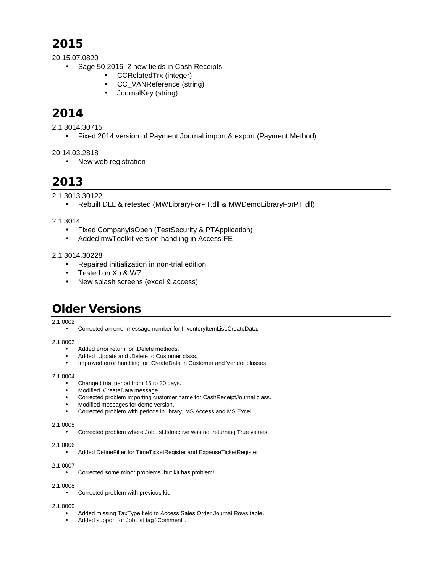# **2015**

## 20.15.07.0820

- Sage 50 2016: 2 new fields in Cash Receipts
	- CCRelatedTrx (integer)
	- CC\_VANReference (string)
	- JournalKey (string)

# **2014**

2.1.3014.30715

• Fixed 2014 version of Payment Journal import & export (Payment Method)

## 20.14.03.2818

• New web registration

# **2013**

2.1.3013.30122

• Rebuilt DLL & retested (MWLibraryForPT.dll & MWDemoLibraryForPT.dll)

## 2.1.3014

- Fixed CompanyIsOpen (TestSecurity & PTApplication)
- Added mwToolkit version handling in Access FE

## 2.1.3014.30228

- Repaired initialization in non-trial edition
- Tested on Xp & W7
- New splash screens (excel & access)

# **Older Versions**

## 2.1.0002

• Corrected an error message number for InventoryItemList.CreateData.

## 2.1.0003

- Added error return for .Delete methods.
- Added .Update and .Delete to Customer class.
- Improved error handling for .CreateData in Customer and Vendor classes.

## 2.1.0004

- Changed trial period from 15 to 30 days.
- Modified .CreateData message.
- Corrected problem importing customer name for CashReceiptJournal class.
- Modified messages for demo version.
- Corrected problem with periods in library, MS Access and MS Excel.

## 2.1.0005

• Corrected problem where JobList.IsInactive was not returning True values.

#### 2.1.0006

• Added DefineFilter for TimeTicketRegister and ExpenseTicketRegister.

## 2.1.0007

Corrected some minor problems, but kit has problem!

## 2.1.0008

• Corrected problem with previous kit.

## 2.1.0009

- Added missing TaxType field to Access Sales Order Journal Rows table.
- Added support for JobList tag "Comment".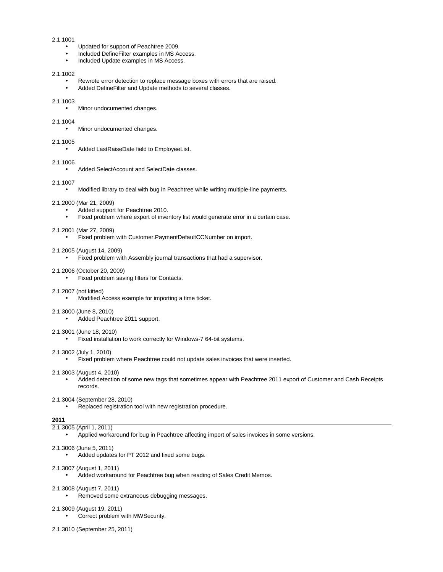#### 2.1.1001

- Updated for support of Peachtree 2009.
- Included DefineFilter examples in MS Access.
- Included Update examples in MS Access.

#### 2.1.1002

- Rewrote error detection to replace message boxes with errors that are raised.
- Added DefineFilter and Update methods to several classes.

#### 2.1.1003

• Minor undocumented changes.

#### 2.1.1004

• Minor undocumented changes.

#### 2.1.1005

• Added LastRaiseDate field to EmployeeList.

#### 2.1.1006

• Added SelectAccount and SelectDate classes.

#### 2.1.1007

• Modified library to deal with bug in Peachtree while writing multiple-line payments.

#### 2.1.2000 (Mar 21, 2009)

- Added support for Peachtree 2010.
- Fixed problem where export of inventory list would generate error in a certain case.

#### 2.1.2001 (Mar 27, 2009)

• Fixed problem with Customer.PaymentDefaultCCNumber on import.

#### 2.1.2005 (August 14, 2009)

• Fixed problem with Assembly journal transactions that had a supervisor.

#### 2.1.2006 (October 20, 2009)

• Fixed problem saving filters for Contacts.

#### 2.1.2007 (not kitted)

• Modified Access example for importing a time ticket.

#### 2.1.3000 (June 8, 2010)

2.1.3001 (June 18, 2010)

• Added Peachtree 2011 support.

# 2.1.3002 (July 1, 2010)

• Fixed problem where Peachtree could not update sales invoices that were inserted.

#### 2.1.3003 (August 4, 2010)

• Added detection of some new tags that sometimes appear with Peachtree 2011 export of Customer and Cash Receipts records.

#### 2.1.3004 (September 28, 2010)

• Replaced registration tool with new registration procedure.

• Fixed installation to work correctly for Windows-7 64-bit systems.

#### **2011**

## 2.1.3005 (April 1, 2011)

• Applied workaround for bug in Peachtree affecting import of sales invoices in some versions.

### 2.1.3006 (June 5, 2011)

• Added updates for PT 2012 and fixed some bugs.

#### 2.1.3007 (August 1, 2011)

• Added workaround for Peachtree bug when reading of Sales Credit Memos.

#### 2.1.3008 (August 7, 2011)

• Removed some extraneous debugging messages.

#### 2.1.3009 (August 19, 2011)

- Correct problem with MWSecurity.
- 2.1.3010 (September 25, 2011)